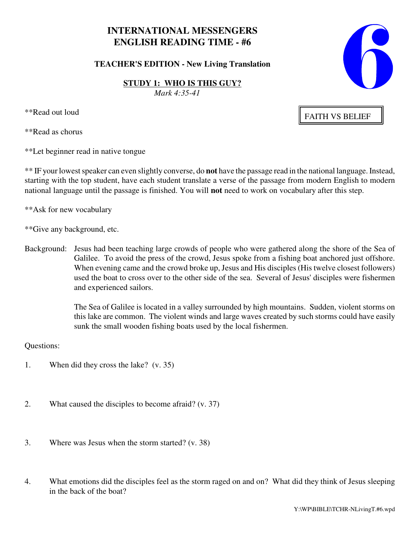# **INTERNATIONAL MESSENGERS ENGLISH READING TIME - #6**

**TEACHER'S EDITION - New Living Translation**

**STUDY 1: WHO IS THIS GUY?** *Mark 4:35-41*

\*\*Read out loud

\*\*Read as chorus

\*\*Let beginner read in native tongue

\*\* IF your lowest speaker can even slightly converse, do **not** have the passage read in the national language. Instead, starting with the top student, have each student translate a verse of the passage from modern English to modern national language until the passage is finished. You will **not** need to work on vocabulary after this step.

\*\*Ask for new vocabulary

\*\*Give any background, etc.

Background: Jesus had been teaching large crowds of people who were gathered along the shore of the Sea of Galilee. To avoid the press of the crowd, Jesus spoke from a fishing boat anchored just offshore. When evening came and the crowd broke up, Jesus and His disciples (His twelve closest followers) used the boat to cross over to the other side of the sea. Several of Jesus' disciples were fishermen and experienced sailors.

> The Sea of Galilee is located in a valley surrounded by high mountains. Sudden, violent storms on this lake are common. The violent winds and large waves created by such storms could have easily sunk the small wooden fishing boats used by the local fishermen.

Questions:

- 1. When did they cross the lake? (v. 35)
- 2. What caused the disciples to become afraid? (v. 37)
- 3. Where was Jesus when the storm started? (v. 38)
- 4. What emotions did the disciples feel as the storm raged on and on? What did they think of Jesus sleeping in the back of the boat?



FAITH VS BELIEF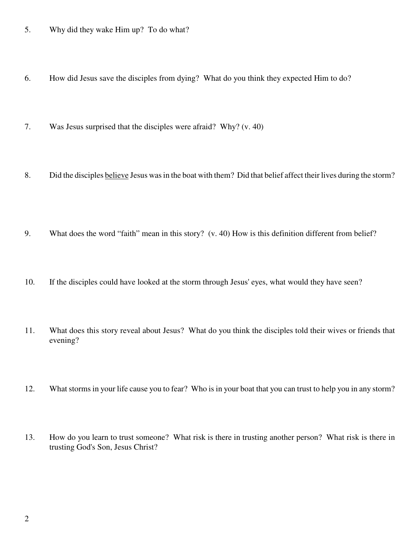- 5. Why did they wake Him up? To do what?
- 6. How did Jesus save the disciples from dying? What do you think they expected Him to do?
- 7. Was Jesus surprised that the disciples were afraid? Why? (v. 40)
- 8. Did the disciples believe Jesus was in the boat with them? Did that belief affect their lives during the storm?
- 9. What does the word "faith" mean in this story? (v. 40) How is this definition different from belief?
- 10. If the disciples could have looked at the storm through Jesus' eyes, what would they have seen?
- 11. What does this story reveal about Jesus? What do you think the disciples told their wives or friends that evening?
- 12. What storms in your life cause you to fear? Who is in your boat that you can trust to help you in any storm?
- 13. How do you learn to trust someone? What risk is there in trusting another person? What risk is there in trusting God's Son, Jesus Christ?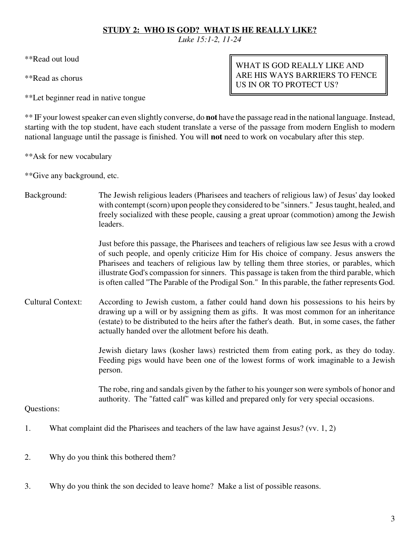## **STUDY 2: WHO IS GOD? WHAT IS HE REALLY LIKE?**

*Luke 15:1-2, 11-24*

\*\*Read out loud

\*\*Read as chorus

\*\*Let beginner read in native tongue

WHAT IS GOD REALLY LIKE AND ARE HIS WAYS BARRIERS TO FENCE US IN OR TO PROTECT US?

\*\* IF your lowest speaker can even slightly converse, do **not** have the passage read in the national language. Instead, starting with the top student, have each student translate a verse of the passage from modern English to modern national language until the passage is finished. You will **not** need to work on vocabulary after this step.

\*\*Ask for new vocabulary

\*\*Give any background, etc.

Background: The Jewish religious leaders (Pharisees and teachers of religious law) of Jesus' day looked with contempt (scorn) upon people they considered to be "sinners." Jesus taught, healed, and freely socialized with these people, causing a great uproar (commotion) among the Jewish leaders.

> Just before this passage, the Pharisees and teachers of religious law see Jesus with a crowd of such people, and openly criticize Him for His choice of company. Jesus answers the Pharisees and teachers of religious law by telling them three stories, or parables, which illustrate God's compassion for sinners. This passage is taken from the third parable, which is often called "The Parable of the Prodigal Son." In this parable, the father represents God.

Cultural Context: According to Jewish custom, a father could hand down his possessions to his heirs by drawing up a will or by assigning them as gifts. It was most common for an inheritance (estate) to be distributed to the heirs after the father's death. But, in some cases, the father actually handed over the allotment before his death.

> Jewish dietary laws (kosher laws) restricted them from eating pork, as they do today. Feeding pigs would have been one of the lowest forms of work imaginable to a Jewish person.

> The robe, ring and sandals given by the father to his younger son were symbols of honor and authority. The "fatted calf" was killed and prepared only for very special occasions.

- 1. What complaint did the Pharisees and teachers of the law have against Jesus? (vv. 1, 2)
- 2. Why do you think this bothered them?
- 3. Why do you think the son decided to leave home? Make a list of possible reasons.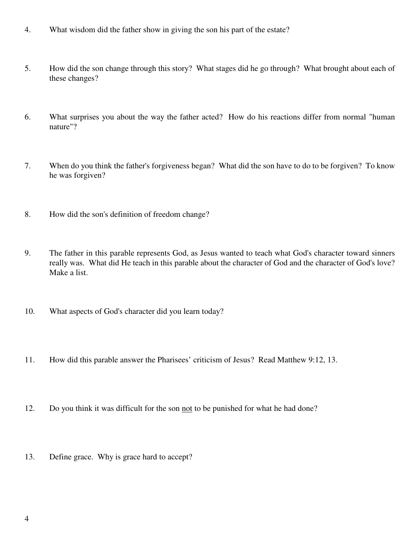- 4. What wisdom did the father show in giving the son his part of the estate?
- 5. How did the son change through this story? What stages did he go through? What brought about each of these changes?
- 6. What surprises you about the way the father acted? How do his reactions differ from normal "human nature"?
- 7. When do you think the father's forgiveness began? What did the son have to do to be forgiven? To know he was forgiven?
- 8. How did the son's definition of freedom change?
- 9. The father in this parable represents God, as Jesus wanted to teach what God's character toward sinners really was. What did He teach in this parable about the character of God and the character of God's love? Make a list.
- 10. What aspects of God's character did you learn today?
- 11. How did this parable answer the Pharisees' criticism of Jesus? Read Matthew 9:12, 13.
- 12. Do you think it was difficult for the son not to be punished for what he had done?
- 13. Define grace. Why is grace hard to accept?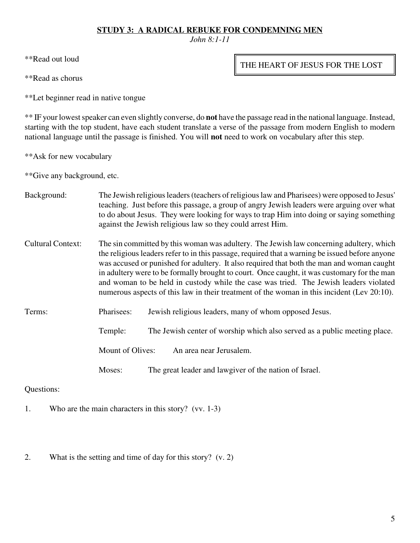### **STUDY 3: A RADICAL REBUKE FOR CONDEMNING MEN**

*John 8:1-11*

\*\*Read out loud

\*\*Read as chorus

\*\*Let beginner read in native tongue

\*\* IF your lowest speaker can even slightly converse, do **not** have the passage read in the national language. Instead, starting with the top student, have each student translate a verse of the passage from modern English to modern national language until the passage is finished. You will **not** need to work on vocabulary after this step.

\*\*Ask for new vocabulary

\*\*Give any background, etc.

- Background: The Jewish religious leaders (teachers of religious law and Pharisees) were opposed to Jesus' teaching. Just before this passage, a group of angry Jewish leaders were arguing over what to do about Jesus. They were looking for ways to trap Him into doing or saying something against the Jewish religious law so they could arrest Him.
- Cultural Context: The sin committed by this woman was adultery. The Jewish law concerning adultery, which the religious leaders refer to in this passage, required that a warning be issued before anyone was accused or punished for adultery. It also required that both the man and woman caught in adultery were to be formally brought to court. Once caught, it was customary for the man and woman to be held in custody while the case was tried. The Jewish leaders violated numerous aspects of this law in their treatment of the woman in this incident (Lev 20:10).
- Terms: Pharisees: Jewish religious leaders, many of whom opposed Jesus.

Temple: The Jewish center of worship which also served as a public meeting place.

Mount of Olives: An area near Jerusalem.

Moses: The great leader and lawgiver of the nation of Israel.

Questions:

1. Who are the main characters in this story? (vv. 1-3)

2. What is the setting and time of day for this story? (v. 2)

THE HEART OF JESUS FOR THE LOST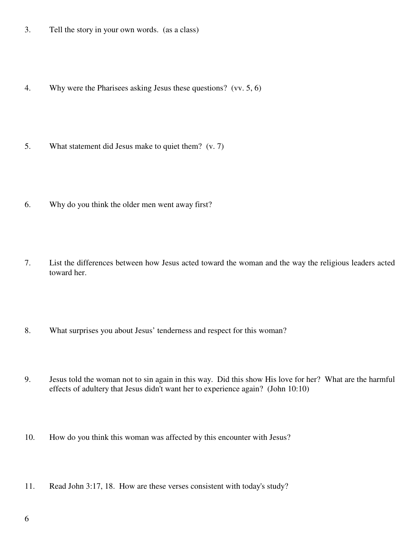- 3. Tell the story in your own words. (as a class)
- 4. Why were the Pharisees asking Jesus these questions? (vv. 5, 6)
- 5. What statement did Jesus make to quiet them? (v. 7)
- 6. Why do you think the older men went away first?
- 7. List the differences between how Jesus acted toward the woman and the way the religious leaders acted toward her.
- 8. What surprises you about Jesus' tenderness and respect for this woman?
- 9. Jesus told the woman not to sin again in this way. Did this show His love for her? What are the harmful effects of adultery that Jesus didn't want her to experience again? (John 10:10)
- 10. How do you think this woman was affected by this encounter with Jesus?
- 11. Read John 3:17, 18. How are these verses consistent with today's study?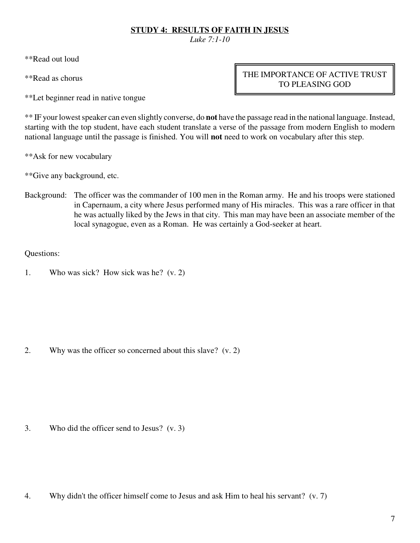# **STUDY 4: RESULTS OF FAITH IN JESUS**

*Luke 7:1-10*

\*\*Read out loud

\*\*Read as chorus

\*\*Let beginner read in native tongue

THE IMPORTANCE OF ACTIVE TRUST TO PLEASING GOD

\*\* IF your lowest speaker can even slightly converse, do **not** have the passage read in the national language. Instead, starting with the top student, have each student translate a verse of the passage from modern English to modern national language until the passage is finished. You will **not** need to work on vocabulary after this step.

\*\*Ask for new vocabulary

\*\*Give any background, etc.

Background: The officer was the commander of 100 men in the Roman army. He and his troops were stationed in Capernaum, a city where Jesus performed many of His miracles. This was a rare officer in that he was actually liked by the Jews in that city. This man may have been an associate member of the local synagogue, even as a Roman. He was certainly a God-seeker at heart.

Questions:

1. Who was sick? How sick was he? (v. 2)

2. Why was the officer so concerned about this slave? (v. 2)

3. Who did the officer send to Jesus? (v. 3)

4. Why didn't the officer himself come to Jesus and ask Him to heal his servant? (v. 7)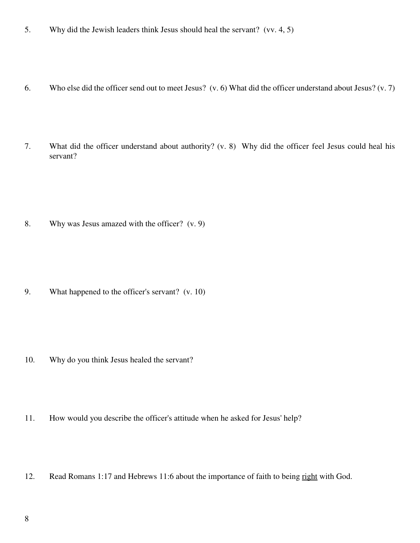- 5. Why did the Jewish leaders think Jesus should heal the servant? (vv. 4, 5)
- 6. Who else did the officer send out to meet Jesus? (v. 6) What did the officer understand about Jesus? (v. 7)
- 7. What did the officer understand about authority? (v. 8) Why did the officer feel Jesus could heal his servant?

8. Why was Jesus amazed with the officer? (v. 9)

9. What happened to the officer's servant? (v. 10)

- 10. Why do you think Jesus healed the servant?
- 11. How would you describe the officer's attitude when he asked for Jesus' help?
- 12. Read Romans 1:17 and Hebrews 11:6 about the importance of faith to being right with God.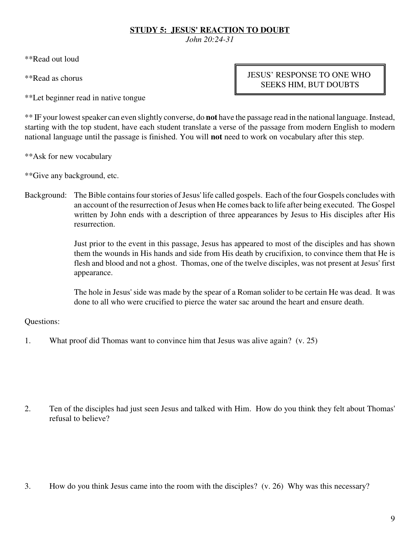# **STUDY 5: JESUS' REACTION TO DOUBT**

*John 20:24-31*

\*\*Read out loud

\*\*Read as chorus

\*\*Let beginner read in native tongue

JESUS' RESPONSE TO ONE WHO SEEKS HIM, BUT DOUBTS

\*\* IF your lowest speaker can even slightly converse, do **not** have the passage read in the national language. Instead, starting with the top student, have each student translate a verse of the passage from modern English to modern national language until the passage is finished. You will **not** need to work on vocabulary after this step.

\*\*Ask for new vocabulary

\*\*Give any background, etc.

Background: The Bible contains four stories of Jesus' life called gospels. Each of the four Gospels concludes with an account of the resurrection of Jesus when He comes back to life after being executed. The Gospel written by John ends with a description of three appearances by Jesus to His disciples after His resurrection.

> Just prior to the event in this passage, Jesus has appeared to most of the disciples and has shown them the wounds in His hands and side from His death by crucifixion, to convince them that He is flesh and blood and not a ghost. Thomas, one of the twelve disciples, was not present at Jesus' first appearance.

> The hole in Jesus' side was made by the spear of a Roman solider to be certain He was dead. It was done to all who were crucified to pierce the water sac around the heart and ensure death.

## Questions:

1. What proof did Thomas want to convince him that Jesus was alive again? (v. 25)

2. Ten of the disciples had just seen Jesus and talked with Him. How do you think they felt about Thomas' refusal to believe?

3. How do you think Jesus came into the room with the disciples? (v. 26) Why was this necessary?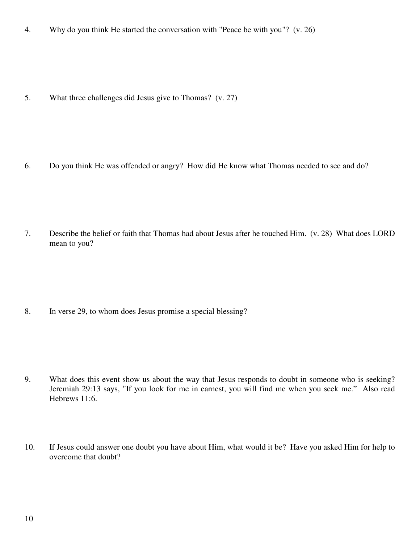4. Why do you think He started the conversation with "Peace be with you"? (v. 26)

5. What three challenges did Jesus give to Thomas? (v. 27)

6. Do you think He was offended or angry? How did He know what Thomas needed to see and do?

7. Describe the belief or faith that Thomas had about Jesus after he touched Him. (v. 28) What does LORD mean to you?

8. In verse 29, to whom does Jesus promise a special blessing?

- 9. What does this event show us about the way that Jesus responds to doubt in someone who is seeking? Jeremiah 29:13 says, "If you look for me in earnest, you will find me when you seek me." Also read Hebrews 11:6.
- 10. If Jesus could answer one doubt you have about Him, what would it be? Have you asked Him for help to overcome that doubt?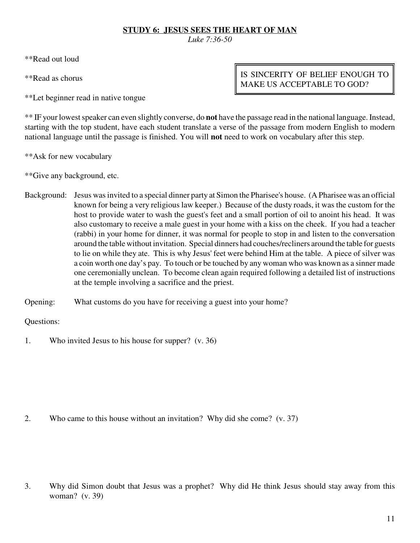## **STUDY 6: JESUS SEES THE HEART OF MAN**

*Luke 7:36-50*

\*\*Read out loud

\*\*Read as chorus

\*\*Let beginner read in native tongue

IS SINCERITY OF BELIEF ENOUGH TO MAKE US ACCEPTABLE TO GOD?

\*\* IF your lowest speaker can even slightly converse, do **not** have the passage read in the national language. Instead, starting with the top student, have each student translate a verse of the passage from modern English to modern national language until the passage is finished. You will **not** need to work on vocabulary after this step.

\*\*Ask for new vocabulary

\*\*Give any background, etc.

- Background: Jesus was invited to a special dinner party at Simon the Pharisee's house. (A Pharisee was an official known for being a very religious law keeper.) Because of the dusty roads, it was the custom for the host to provide water to wash the guest's feet and a small portion of oil to anoint his head. It was also customary to receive a male guest in your home with a kiss on the cheek. If you had a teacher (rabbi) in your home for dinner, it was normal for people to stop in and listen to the conversation around the table without invitation. Special dinners had couches/recliners around the table for guests to lie on while they ate. This is why Jesus' feet were behind Him at the table. A piece of silver was a coin worth one day's pay. To touch or be touched by any woman who was known as a sinner made one ceremonially unclean. To become clean again required following a detailed list of instructions at the temple involving a sacrifice and the priest.
- Opening: What customs do you have for receiving a guest into your home?

Questions:

1. Who invited Jesus to his house for supper? (v. 36)

2. Who came to this house without an invitation? Why did she come? (v. 37)

3. Why did Simon doubt that Jesus was a prophet? Why did He think Jesus should stay away from this woman? (v. 39)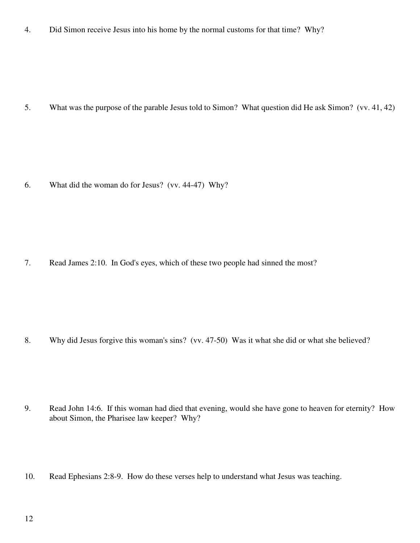4. Did Simon receive Jesus into his home by the normal customs for that time? Why?

5. What was the purpose of the parable Jesus told to Simon? What question did He ask Simon? (vv. 41, 42)

6. What did the woman do for Jesus? (vv. 44-47) Why?

7. Read James 2:10. In God's eyes, which of these two people had sinned the most?

8. Why did Jesus forgive this woman's sins? (vv. 47-50) Was it what she did or what she believed?

- 9. Read John 14:6. If this woman had died that evening, would she have gone to heaven for eternity? How about Simon, the Pharisee law keeper? Why?
- 10. Read Ephesians 2:8-9. How do these verses help to understand what Jesus was teaching.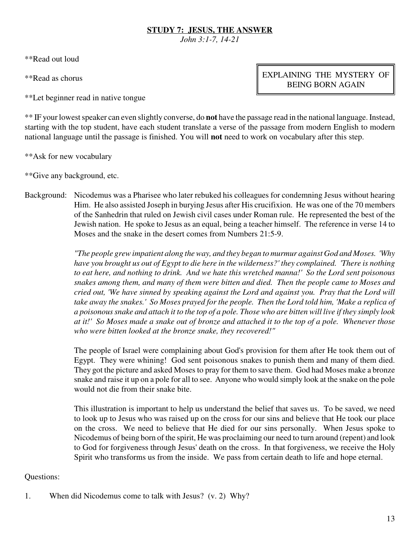# **STUDY 7: JESUS, THE ANSWER**

*John 3:1-7, 14-21*

\*\*Read out loud

\*\*Read as chorus

\*\*Let beginner read in native tongue

EXPLAINING THE MYSTERY OF BEING BORN AGAIN

\*\* IF your lowest speaker can even slightly converse, do **not** have the passage read in the national language. Instead, starting with the top student, have each student translate a verse of the passage from modern English to modern national language until the passage is finished. You will **not** need to work on vocabulary after this step.

\*\*Ask for new vocabulary

\*\*Give any background, etc.

Background: Nicodemus was a Pharisee who later rebuked his colleagues for condemning Jesus without hearing Him. He also assisted Joseph in burying Jesus after His crucifixion. He was one of the 70 members of the Sanhedrin that ruled on Jewish civil cases under Roman rule. He represented the best of the Jewish nation. He spoke to Jesus as an equal, being a teacher himself. The reference in verse 14 to Moses and the snake in the desert comes from Numbers 21:5-9.

> *"The people grew impatient along the way, and they began to murmur against God and Moses. 'Why have you brought us out of Egypt to die here in the wilderness?' they complained. 'There is nothing to eat here, and nothing to drink. And we hate this wretched manna!' So the Lord sent poisonous snakes among them, and many of them were bitten and died. Then the people came to Moses and cried out, 'We have sinned by speaking against the Lord and against you. Pray that the Lord will take away the snakes.' So Moses prayed for the people. Then the Lord told him, 'Make a replica of a poisonous snake and attach it to the top of a pole. Those who are bitten will live if they simply look at it!' So Moses made a snake out of bronze and attached it to the top of a pole. Whenever those who were bitten looked at the bronze snake, they recovered!"*

> The people of Israel were complaining about God's provision for them after He took them out of Egypt. They were whining! God sent poisonous snakes to punish them and many of them died. They got the picture and asked Moses to pray for them to save them. God had Moses make a bronze snake and raise it up on a pole for all to see. Anyone who would simply look at the snake on the pole would not die from their snake bite.

> This illustration is important to help us understand the belief that saves us. To be saved, we need to look up to Jesus who was raised up on the cross for our sins and believe that He took our place on the cross. We need to believe that He died for our sins personally. When Jesus spoke to Nicodemus of being born of the spirit, He was proclaiming our need to turn around (repent) and look to God for forgiveness through Jesus' death on the cross. In that forgiveness, we receive the Holy Spirit who transforms us from the inside. We pass from certain death to life and hope eternal.

Questions:

1. When did Nicodemus come to talk with Jesus? (v. 2) Why?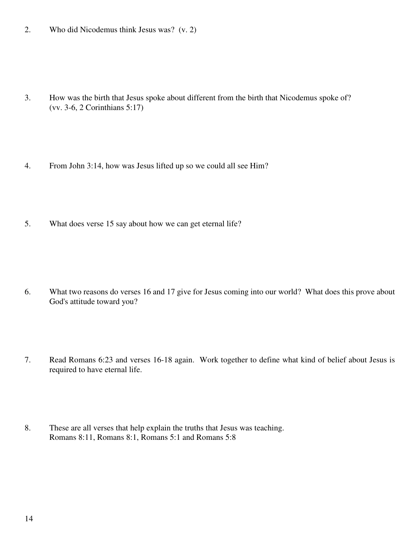2. Who did Nicodemus think Jesus was? (v. 2)

- 3. How was the birth that Jesus spoke about different from the birth that Nicodemus spoke of? (vv. 3-6, 2 Corinthians 5:17)
- 4. From John 3:14, how was Jesus lifted up so we could all see Him?
- 5. What does verse 15 say about how we can get eternal life?

- 6. What two reasons do verses 16 and 17 give for Jesus coming into our world? What does this prove about God's attitude toward you?
- 7. Read Romans 6:23 and verses 16-18 again. Work together to define what kind of belief about Jesus is required to have eternal life.
- 8. These are all verses that help explain the truths that Jesus was teaching. Romans 8:11, Romans 8:1, Romans 5:1 and Romans 5:8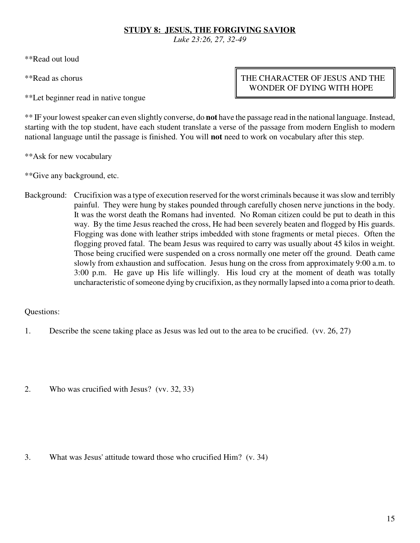# **STUDY 8: JESUS, THE FORGIVING SAVIOR**

*Luke 23:26, 27, 32-49*

\*\*Read out loud

\*\*Read as chorus

\*\*Let beginner read in native tongue

# THE CHARACTER OF JESUS AND THE WONDER OF DYING WITH HOPE

\*\* IF your lowest speaker can even slightly converse, do **not** have the passage read in the national language. Instead, starting with the top student, have each student translate a verse of the passage from modern English to modern national language until the passage is finished. You will **not** need to work on vocabulary after this step.

\*\*Ask for new vocabulary

\*\*Give any background, etc.

Background: Crucifixion was a type of execution reserved for the worst criminals because it was slow and terribly painful. They were hung by stakes pounded through carefully chosen nerve junctions in the body. It was the worst death the Romans had invented. No Roman citizen could be put to death in this way. By the time Jesus reached the cross, He had been severely beaten and flogged by His guards. Flogging was done with leather strips imbedded with stone fragments or metal pieces. Often the flogging proved fatal. The beam Jesus was required to carry was usually about 45 kilos in weight. Those being crucified were suspended on a cross normally one meter off the ground. Death came slowly from exhaustion and suffocation. Jesus hung on the cross from approximately 9:00 a.m. to 3:00 p.m. He gave up His life willingly. His loud cry at the moment of death was totally uncharacteristic of someone dying by crucifixion, as they normally lapsed into a coma prior to death.

Questions:

- 1. Describe the scene taking place as Jesus was led out to the area to be crucified. (vv. 26, 27)
- 2. Who was crucified with Jesus? (vv. 32, 33)

3. What was Jesus' attitude toward those who crucified Him? (v. 34)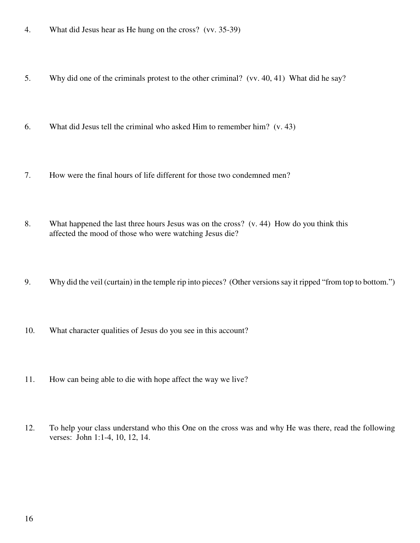- 4. What did Jesus hear as He hung on the cross? (vv. 35-39)
- 5. Why did one of the criminals protest to the other criminal? (vv. 40, 41) What did he say?
- 6. What did Jesus tell the criminal who asked Him to remember him? (v. 43)
- 7. How were the final hours of life different for those two condemned men?
- 8. What happened the last three hours Jesus was on the cross? (v. 44) How do you think this affected the mood of those who were watching Jesus die?
- 9. Why did the veil (curtain) in the temple rip into pieces? (Other versions say it ripped "from top to bottom.")
- 10. What character qualities of Jesus do you see in this account?
- 11. How can being able to die with hope affect the way we live?
- 12. To help your class understand who this One on the cross was and why He was there, read the following verses: John 1:1-4, 10, 12, 14.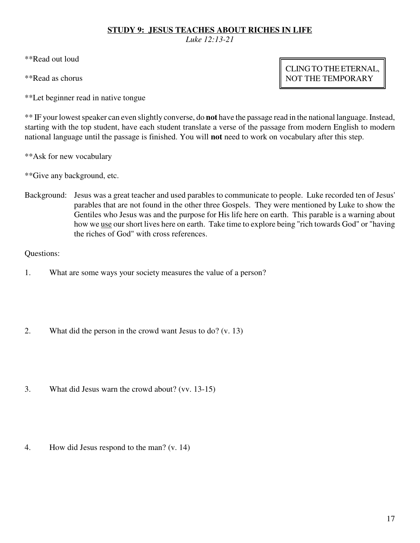## **STUDY 9: JESUS TEACHES ABOUT RICHES IN LIFE**

*Luke 12:13-21*

\*\*Read out loud

\*\*Read as chorus

\*\*Let beginner read in native tongue

\*\* IF your lowest speaker can even slightly converse, do **not** have the passage read in the national language. Instead, starting with the top student, have each student translate a verse of the passage from modern English to modern national language until the passage is finished. You will **not** need to work on vocabulary after this step.

\*\*Ask for new vocabulary

\*\*Give any background, etc.

Background: Jesus was a great teacher and used parables to communicate to people. Luke recorded ten of Jesus' parables that are not found in the other three Gospels. They were mentioned by Luke to show the Gentiles who Jesus was and the purpose for His life here on earth. This parable is a warning about how we use our short lives here on earth. Take time to explore being "rich towards God" or "having the riches of God" with cross references.

Questions:

- 1. What are some ways your society measures the value of a person?
- 2. What did the person in the crowd want Jesus to do? (v. 13)
- 3. What did Jesus warn the crowd about? (vv. 13-15)
- 4. How did Jesus respond to the man? (v. 14)

CLING TO THE ETERNAL, NOT THE TEMPORARY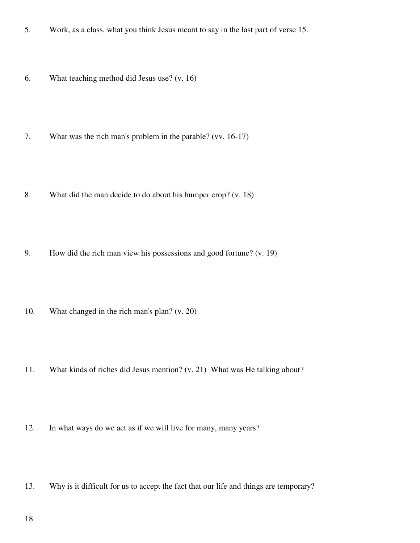- 5. Work, as a class, what you think Jesus meant to say in the last part of verse 15.
- 6. What teaching method did Jesus use? (v. 16)
- 7. What was the rich man's problem in the parable? (vv. 16-17)
- 8. What did the man decide to do about his bumper crop? (v. 18)
- 9. How did the rich man view his possessions and good fortune? (v. 19)
- 10. What changed in the rich man's plan? (v. 20)
- 11. What kinds of riches did Jesus mention? (v. 21) What was He talking about?
- 12. In what ways do we act as if we will live for many, many years?
- 13. Why is it difficult for us to accept the fact that our life and things are temporary?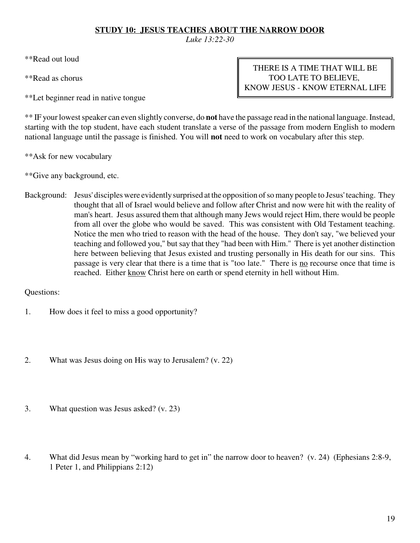## **STUDY 10: JESUS TEACHES ABOUT THE NARROW DOOR**

*Luke 13:22-30*

\*\*Read out loud

\*\*Read as chorus

\*\*Let beginner read in native tongue

THERE IS A TIME THAT WILL BE TOO LATE TO BELIEVE, KNOW JESUS - KNOW ETERNAL LIFE

\*\* IF your lowest speaker can even slightly converse, do **not** have the passage read in the national language. Instead, starting with the top student, have each student translate a verse of the passage from modern English to modern national language until the passage is finished. You will **not** need to work on vocabulary after this step.

\*\*Ask for new vocabulary

\*\*Give any background, etc.

Background: Jesus' disciples were evidently surprised at the opposition of so many people to Jesus' teaching. They thought that all of Israel would believe and follow after Christ and now were hit with the reality of man's heart. Jesus assured them that although many Jews would reject Him, there would be people from all over the globe who would be saved. This was consistent with Old Testament teaching. Notice the men who tried to reason with the head of the house. They don't say, "we believed your teaching and followed you," but say that they "had been with Him." There is yet another distinction here between believing that Jesus existed and trusting personally in His death for our sins. This passage is very clear that there is a time that is "too late." There is <u>no</u> recourse once that time is reached. Either know Christ here on earth or spend eternity in hell without Him.

- 1. How does it feel to miss a good opportunity?
- 2. What was Jesus doing on His way to Jerusalem? (v. 22)
- 3. What question was Jesus asked? (v. 23)
- 4. What did Jesus mean by "working hard to get in" the narrow door to heaven? (v. 24) (Ephesians 2:8-9, 1 Peter 1, and Philippians 2:12)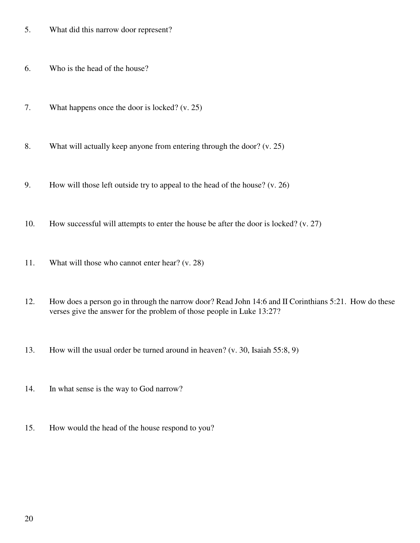- 5. What did this narrow door represent?
- 6. Who is the head of the house?
- 7. What happens once the door is locked? (v. 25)
- 8. What will actually keep anyone from entering through the door? (v. 25)
- 9. How will those left outside try to appeal to the head of the house? (v. 26)
- 10. How successful will attempts to enter the house be after the door is locked? (v. 27)
- 11. What will those who cannot enter hear? (v. 28)
- 12. How does a person go in through the narrow door? Read John 14:6 and II Corinthians 5:21. How do these verses give the answer for the problem of those people in Luke 13:27?
- 13. How will the usual order be turned around in heaven? (v. 30, Isaiah 55:8, 9)
- 14. In what sense is the way to God narrow?
- 15. How would the head of the house respond to you?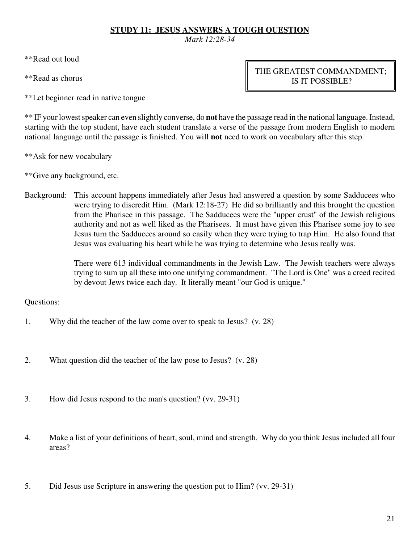## **STUDY 11: JESUS ANSWERS A TOUGH QUESTION**

*Mark 12:28-34*

\*\*Read out loud

\*\*Read as chorus

\*\*Let beginner read in native tongue

THE GREATEST COMMANDMENT; IS IT POSSIBLE?

\*\* IF your lowest speaker can even slightly converse, do **not** have the passage read in the national language. Instead, starting with the top student, have each student translate a verse of the passage from modern English to modern national language until the passage is finished. You will **not** need to work on vocabulary after this step.

\*\*Ask for new vocabulary

\*\*Give any background, etc.

Background: This account happens immediately after Jesus had answered a question by some Sadducees who were trying to discredit Him. (Mark 12:18-27) He did so brilliantly and this brought the question from the Pharisee in this passage. The Sadducees were the "upper crust" of the Jewish religious authority and not as well liked as the Pharisees. It must have given this Pharisee some joy to see Jesus turn the Sadducees around so easily when they were trying to trap Him. He also found that Jesus was evaluating his heart while he was trying to determine who Jesus really was.

> There were 613 individual commandments in the Jewish Law. The Jewish teachers were always trying to sum up all these into one unifying commandment. "The Lord is One" was a creed recited by devout Jews twice each day. It literally meant "our God is unique."

- 1. Why did the teacher of the law come over to speak to Jesus? (v. 28)
- 2. What question did the teacher of the law pose to Jesus? (v. 28)
- 3. How did Jesus respond to the man's question? (vv. 29-31)
- 4. Make a list of your definitions of heart, soul, mind and strength. Why do you think Jesus included all four areas?
- 5. Did Jesus use Scripture in answering the question put to Him? (vv. 29-31)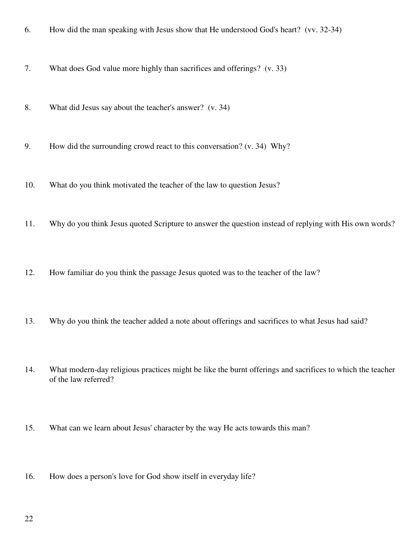- 6. How did the man speaking with Jesus show that He understood God's heart? (vv. 32-34)
- 7. What does God value more highly than sacrifices and offerings? (v. 33)
- 8. What did Jesus say about the teacher's answer? (v. 34)
- 9. How did the surrounding crowd react to this conversation? (v. 34) Why?
- 10. What do you think motivated the teacher of the law to question Jesus?
- 11. Why do you think Jesus quoted Scripture to answer the question instead of replying with His own words?
- 12. How familiar do you think the passage Jesus quoted was to the teacher of the law?
- 13. Why do you think the teacher added a note about offerings and sacrifices to what Jesus had said?
- 14. What modern-day religious practices might be like the burnt offerings and sacrifices to which the teacher of the law referred?
- 15. What can we learn about Jesus' character by the way He acts towards this man?
- 16. How does a person's love for God show itself in everyday life?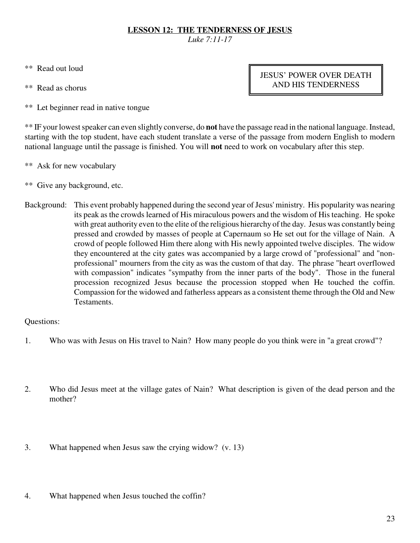# **LESSON 12: THE TENDERNESS OF JESUS**

*Luke 7:11-17*

- \*\* Read out loud
- \*\* Read as chorus

JESUS' POWER OVER DEATH AND HIS TENDERNESS

\*\* Let beginner read in native tongue

\*\* IF your lowest speaker can even slightly converse, do **not** have the passage read in the national language. Instead, starting with the top student, have each student translate a verse of the passage from modern English to modern national language until the passage is finished. You will **not** need to work on vocabulary after this step.

- \*\* Ask for new vocabulary
- \*\* Give any background, etc.
- Background: This event probably happened during the second year of Jesus' ministry. His popularity was nearing its peak as the crowds learned of His miraculous powers and the wisdom of His teaching. He spoke with great authority even to the elite of the religious hierarchy of the day. Jesus was constantly being pressed and crowded by masses of people at Capernaum so He set out for the village of Nain. A crowd of people followed Him there along with His newly appointed twelve disciples. The widow they encountered at the city gates was accompanied by a large crowd of "professional" and "nonprofessional" mourners from the city as was the custom of that day. The phrase "heart overflowed with compassion" indicates "sympathy from the inner parts of the body". Those in the funeral procession recognized Jesus because the procession stopped when He touched the coffin. Compassion for the widowed and fatherless appears as a consistent theme through the Old and New Testaments.

- 1. Who was with Jesus on His travel to Nain? How many people do you think were in "a great crowd"?
- 2. Who did Jesus meet at the village gates of Nain? What description is given of the dead person and the mother?
- 3. What happened when Jesus saw the crying widow? (v. 13)
- 4. What happened when Jesus touched the coffin?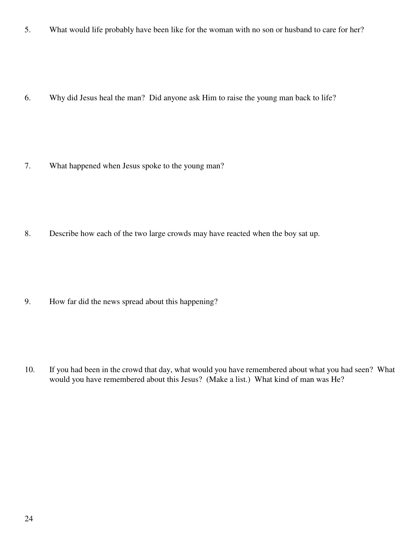5. What would life probably have been like for the woman with no son or husband to care for her?

6. Why did Jesus heal the man? Did anyone ask Him to raise the young man back to life?

7. What happened when Jesus spoke to the young man?

8. Describe how each of the two large crowds may have reacted when the boy sat up.

9. How far did the news spread about this happening?

10. If you had been in the crowd that day, what would you have remembered about what you had seen? What would you have remembered about this Jesus? (Make a list.) What kind of man was He?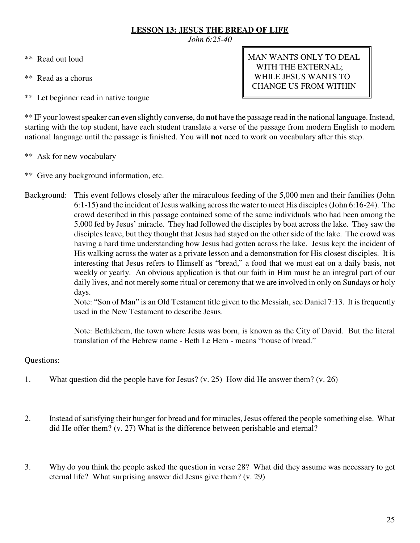# **LESSON 13: JESUS THE BREAD OF LIFE**

*John 6:25-40*

- \*\* Read out loud
- \*\* Read as a chorus
- \*\* Let beginner read in native tongue

MAN WANTS ONLY TO DEAL WITH THE EXTERNAL; WHILE JESUS WANTS TO CHANGE US FROM WITHIN

\*\* IF your lowest speaker can even slightly converse, do **not** have the passage read in the national language. Instead, starting with the top student, have each student translate a verse of the passage from modern English to modern national language until the passage is finished. You will **not** need to work on vocabulary after this step.

- \*\* Ask for new vocabulary
- \*\* Give any background information, etc.
- Background: This event follows closely after the miraculous feeding of the 5,000 men and their families (John 6:1-15) and the incident of Jesus walking across the water to meet His disciples (John 6:16-24). The crowd described in this passage contained some of the same individuals who had been among the 5,000 fed by Jesus' miracle. They had followed the disciples by boat across the lake. They saw the disciples leave, but they thought that Jesus had stayed on the other side of the lake. The crowd was having a hard time understanding how Jesus had gotten across the lake. Jesus kept the incident of His walking across the water as a private lesson and a demonstration for His closest disciples. It is interesting that Jesus refers to Himself as "bread," a food that we must eat on a daily basis, not weekly or yearly. An obvious application is that our faith in Him must be an integral part of our daily lives, and not merely some ritual or ceremony that we are involved in only on Sundays or holy days.

Note: "Son of Man" is an Old Testament title given to the Messiah, see Daniel 7:13. It is frequently used in the New Testament to describe Jesus.

Note: Bethlehem, the town where Jesus was born, is known as the City of David. But the literal translation of the Hebrew name - Beth Le Hem - means "house of bread."

- 1. What question did the people have for Jesus? (v. 25) How did He answer them? (v. 26)
- 2. Instead of satisfying their hunger for bread and for miracles, Jesus offered the people something else. What did He offer them? (v. 27) What is the difference between perishable and eternal?
- 3. Why do you think the people asked the question in verse 28? What did they assume was necessary to get eternal life? What surprising answer did Jesus give them? (v. 29)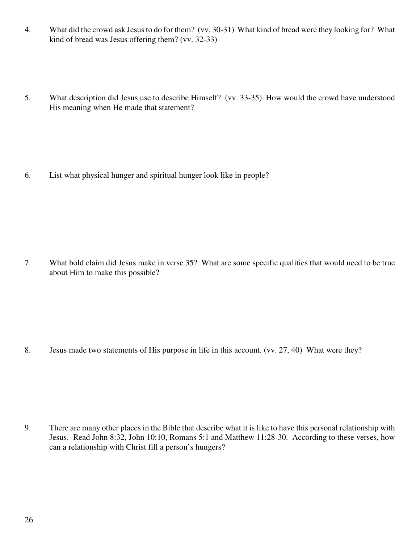- 4. What did the crowd ask Jesus to do for them? (vv. 30-31) What kind of bread were they looking for? What kind of bread was Jesus offering them? (vv. 32-33)
- 5. What description did Jesus use to describe Himself? (vv. 33-35) How would the crowd have understood His meaning when He made that statement?

6. List what physical hunger and spiritual hunger look like in people?

7. What bold claim did Jesus make in verse 35? What are some specific qualities that would need to be true about Him to make this possible?

8. Jesus made two statements of His purpose in life in this account. (vv. 27, 40) What were they?

9. There are many other places in the Bible that describe what it is like to have this personal relationship with Jesus. Read John 8:32, John 10:10, Romans 5:1 and Matthew 11:28-30. According to these verses, how can a relationship with Christ fill a person's hungers?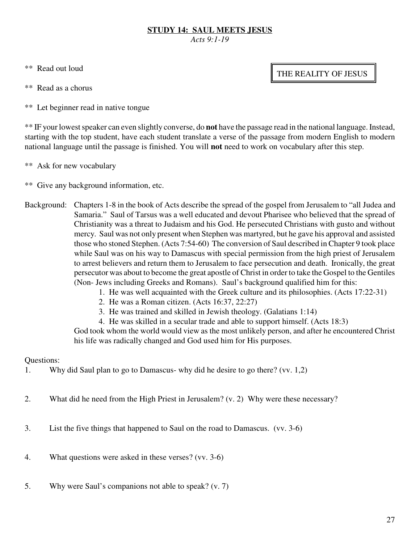# **STUDY 14: SAUL MEETS JESUS**

*Acts 9:1-19*

- \*\* Read out loud
- \*\* Read as a chorus
- \*\* Let beginner read in native tongue

\*\* IF your lowest speaker can even slightly converse, do **not** have the passage read in the national language. Instead, starting with the top student, have each student translate a verse of the passage from modern English to modern national language until the passage is finished. You will **not** need to work on vocabulary after this step.

- \*\* Ask for new vocabulary
- \*\* Give any background information, etc.
- Background: Chapters 1-8 in the book of Acts describe the spread of the gospel from Jerusalem to "all Judea and Samaria." Saul of Tarsus was a well educated and devout Pharisee who believed that the spread of Christianity was a threat to Judaism and his God. He persecuted Christians with gusto and without mercy. Saul was not only present when Stephen was martyred, but he gave his approval and assisted those who stoned Stephen. (Acts 7:54-60) The conversion of Saul described in Chapter 9 took place while Saul was on his way to Damascus with special permission from the high priest of Jerusalem to arrest believers and return them to Jerusalem to face persecution and death. Ironically, the great persecutor was about to become the great apostle of Christ in order to take the Gospel to the Gentiles (Non- Jews including Greeks and Romans). Saul's background qualified him for this:
	- 1. He was well acquainted with the Greek culture and its philosophies. (Acts 17:22-31)
		- 2. He was a Roman citizen. (Acts 16:37, 22:27)
		- 3. He was trained and skilled in Jewish theology. (Galatians 1:14)
		- 4. He was skilled in a secular trade and able to support himself. (Acts 18:3)

God took whom the world would view as the most unlikely person, and after he encountered Christ his life was radically changed and God used him for His purposes.

# Questions:

- 1. Why did Saul plan to go to Damascus- why did he desire to go there? (vv. 1,2)
- 2. What did he need from the High Priest in Jerusalem? (v. 2) Why were these necessary?
- 3. List the five things that happened to Saul on the road to Damascus. (vv. 3-6)
- 4. What questions were asked in these verses? (vv. 3-6)
- 5. Why were Saul's companions not able to speak? (v. 7)

# THE REALITY OF JESUS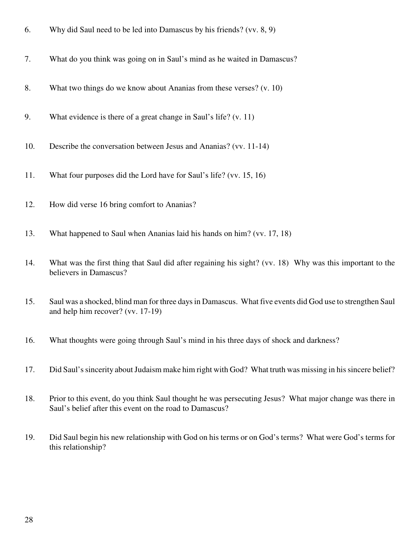| 7.<br>What do you think was going on in Saul's mind as he waited in Damascus?<br>8.<br>What two things do we know about Ananias from these verses? $(v. 10)$<br>9.<br>What evidence is there of a great change in Saul's life? $(v. 11)$<br>Describe the conversation between Jesus and Ananias? (vv. 11-14)<br>10.<br>What four purposes did the Lord have for Saul's life? (vv. 15, 16)<br>11.<br>How did verse 16 bring comfort to Ananias?<br>12.<br>13.<br>What happened to Saul when Ananias laid his hands on him? (vv. 17, 18)<br>What was the first thing that Saul did after regaining his sight? (vv. 18) Why was this important to the<br>14.<br>believers in Damascus?<br>Saul was a shocked, blind man for three days in Damascus. What five events did God use to strengthen Saul<br>15.<br>and help him recover? (vv. 17-19)<br>What thoughts were going through Saul's mind in his three days of shock and darkness?<br>16.<br>17.<br>Did Saul's sincerity about Judaism make him right with God? What truth was missing in his sincere belief?<br>18.<br>Prior to this event, do you think Saul thought he was persecuting Jesus? What major change was there in<br>Saul's belief after this event on the road to Damascus?<br>Did Saul begin his new relationship with God on his terms or on God's terms? What were God's terms for<br>19.<br>this relationship? | 6. | Why did Saul need to be led into Damascus by his friends? (vv. $8, 9$ ) |
|--------------------------------------------------------------------------------------------------------------------------------------------------------------------------------------------------------------------------------------------------------------------------------------------------------------------------------------------------------------------------------------------------------------------------------------------------------------------------------------------------------------------------------------------------------------------------------------------------------------------------------------------------------------------------------------------------------------------------------------------------------------------------------------------------------------------------------------------------------------------------------------------------------------------------------------------------------------------------------------------------------------------------------------------------------------------------------------------------------------------------------------------------------------------------------------------------------------------------------------------------------------------------------------------------------------------------------------------------------------------------------------|----|-------------------------------------------------------------------------|
|                                                                                                                                                                                                                                                                                                                                                                                                                                                                                                                                                                                                                                                                                                                                                                                                                                                                                                                                                                                                                                                                                                                                                                                                                                                                                                                                                                                      |    |                                                                         |
|                                                                                                                                                                                                                                                                                                                                                                                                                                                                                                                                                                                                                                                                                                                                                                                                                                                                                                                                                                                                                                                                                                                                                                                                                                                                                                                                                                                      |    |                                                                         |
|                                                                                                                                                                                                                                                                                                                                                                                                                                                                                                                                                                                                                                                                                                                                                                                                                                                                                                                                                                                                                                                                                                                                                                                                                                                                                                                                                                                      |    |                                                                         |
|                                                                                                                                                                                                                                                                                                                                                                                                                                                                                                                                                                                                                                                                                                                                                                                                                                                                                                                                                                                                                                                                                                                                                                                                                                                                                                                                                                                      |    |                                                                         |
|                                                                                                                                                                                                                                                                                                                                                                                                                                                                                                                                                                                                                                                                                                                                                                                                                                                                                                                                                                                                                                                                                                                                                                                                                                                                                                                                                                                      |    |                                                                         |
|                                                                                                                                                                                                                                                                                                                                                                                                                                                                                                                                                                                                                                                                                                                                                                                                                                                                                                                                                                                                                                                                                                                                                                                                                                                                                                                                                                                      |    |                                                                         |
|                                                                                                                                                                                                                                                                                                                                                                                                                                                                                                                                                                                                                                                                                                                                                                                                                                                                                                                                                                                                                                                                                                                                                                                                                                                                                                                                                                                      |    |                                                                         |
|                                                                                                                                                                                                                                                                                                                                                                                                                                                                                                                                                                                                                                                                                                                                                                                                                                                                                                                                                                                                                                                                                                                                                                                                                                                                                                                                                                                      |    |                                                                         |
|                                                                                                                                                                                                                                                                                                                                                                                                                                                                                                                                                                                                                                                                                                                                                                                                                                                                                                                                                                                                                                                                                                                                                                                                                                                                                                                                                                                      |    |                                                                         |
|                                                                                                                                                                                                                                                                                                                                                                                                                                                                                                                                                                                                                                                                                                                                                                                                                                                                                                                                                                                                                                                                                                                                                                                                                                                                                                                                                                                      |    |                                                                         |
|                                                                                                                                                                                                                                                                                                                                                                                                                                                                                                                                                                                                                                                                                                                                                                                                                                                                                                                                                                                                                                                                                                                                                                                                                                                                                                                                                                                      |    |                                                                         |
|                                                                                                                                                                                                                                                                                                                                                                                                                                                                                                                                                                                                                                                                                                                                                                                                                                                                                                                                                                                                                                                                                                                                                                                                                                                                                                                                                                                      |    |                                                                         |
|                                                                                                                                                                                                                                                                                                                                                                                                                                                                                                                                                                                                                                                                                                                                                                                                                                                                                                                                                                                                                                                                                                                                                                                                                                                                                                                                                                                      |    |                                                                         |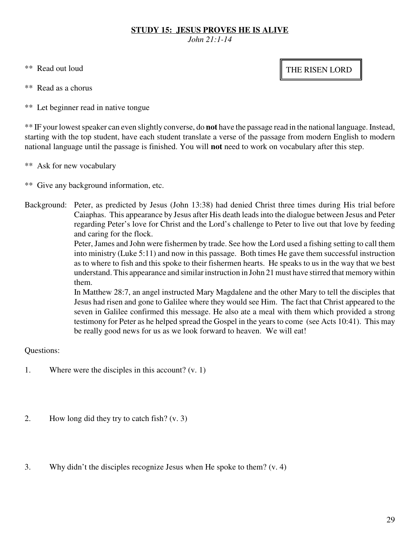## **STUDY 15: JESUS PROVES HE IS ALIVE**

*John 21:1-14*

- \*\* Read out loud
- \*\* Read as a chorus
- \*\* Let beginner read in native tongue

\*\* IF your lowest speaker can even slightly converse, do **not** have the passage read in the national language. Instead, starting with the top student, have each student translate a verse of the passage from modern English to modern national language until the passage is finished. You will **not** need to work on vocabulary after this step.

- \*\* Ask for new vocabulary
- \*\* Give any background information, etc.
- Background: Peter, as predicted by Jesus (John 13:38) had denied Christ three times during His trial before Caiaphas. This appearance by Jesus after His death leads into the dialogue between Jesus and Peter regarding Peter's love for Christ and the Lord's challenge to Peter to live out that love by feeding and caring for the flock.

Peter, James and John were fishermen by trade. See how the Lord used a fishing setting to call them into ministry (Luke 5:11) and now in this passage. Both times He gave them successful instruction as to where to fish and this spoke to their fishermen hearts. He speaks to us in the way that we best understand. This appearance and similar instruction in John 21 must have stirred that memory within them.

In Matthew 28:7, an angel instructed Mary Magdalene and the other Mary to tell the disciples that Jesus had risen and gone to Galilee where they would see Him. The fact that Christ appeared to the seven in Galilee confirmed this message. He also ate a meal with them which provided a strong testimony for Peter as he helped spread the Gospel in the years to come (see Acts 10:41). This may be really good news for us as we look forward to heaven. We will eat!

Questions:

- 1. Where were the disciples in this account? (v. 1)
- 2. How long did they try to catch fish? (v. 3)
- 3. Why didn't the disciples recognize Jesus when He spoke to them? (v. 4)

THE RISEN LORD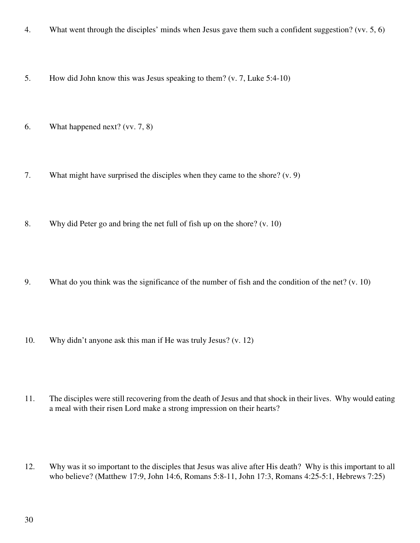- 4. What went through the disciples' minds when Jesus gave them such a confident suggestion? (vv. 5, 6)
- 5. How did John know this was Jesus speaking to them? (v. 7, Luke 5:4-10)
- 6. What happened next? (vv. 7, 8)
- 7. What might have surprised the disciples when they came to the shore? (v. 9)
- 8. Why did Peter go and bring the net full of fish up on the shore? (v. 10)
- 9. What do you think was the significance of the number of fish and the condition of the net? (v. 10)
- 10. Why didn't anyone ask this man if He was truly Jesus? (v. 12)
- 11. The disciples were still recovering from the death of Jesus and that shock in their lives. Why would eating a meal with their risen Lord make a strong impression on their hearts?
- 12. Why was it so important to the disciples that Jesus was alive after His death? Why is this important to all who believe? (Matthew 17:9, John 14:6, Romans 5:8-11, John 17:3, Romans 4:25-5:1, Hebrews 7:25)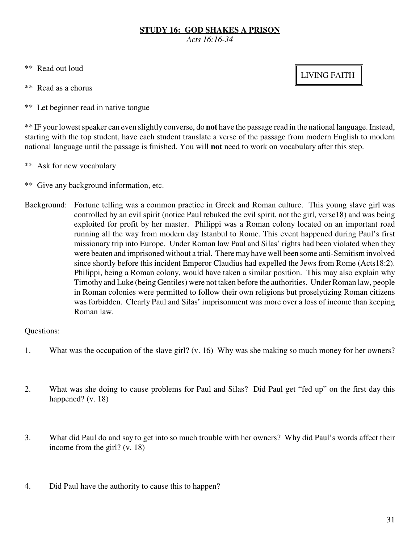## **STUDY 16: GOD SHAKES A PRISON**

*Acts 16:16-34*

- \*\* Read out loud
- \*\* Read as a chorus
- \*\* Let beginner read in native tongue

\*\* IF your lowest speaker can even slightly converse, do **not** have the passage read in the national language. Instead, starting with the top student, have each student translate a verse of the passage from modern English to modern national language until the passage is finished. You will **not** need to work on vocabulary after this step.

- \*\* Ask for new vocabulary
- \*\* Give any background information, etc.
- Background: Fortune telling was a common practice in Greek and Roman culture. This young slave girl was controlled by an evil spirit (notice Paul rebuked the evil spirit, not the girl, verse18) and was being exploited for profit by her master. Philippi was a Roman colony located on an important road running all the way from modern day Istanbul to Rome. This event happened during Paul's first missionary trip into Europe. Under Roman law Paul and Silas' rights had been violated when they were beaten and imprisoned without a trial. There may have well been some anti-Semitism involved since shortly before this incident Emperor Claudius had expelled the Jews from Rome (Acts18:2). Philippi, being a Roman colony, would have taken a similar position. This may also explain why Timothy and Luke (being Gentiles) were not taken before the authorities. Under Roman law, people in Roman colonies were permitted to follow their own religions but proselytizing Roman citizens was forbidden. Clearly Paul and Silas' imprisonment was more over a loss of income than keeping Roman law.

## Questions:

- 1. What was the occupation of the slave girl? (v. 16) Why was she making so much money for her owners?
- 2. What was she doing to cause problems for Paul and Silas? Did Paul get "fed up" on the first day this happened? (v. 18)
- 3. What did Paul do and say to get into so much trouble with her owners? Why did Paul's words affect their income from the girl? (v. 18)
- 4. Did Paul have the authority to cause this to happen?

# LIVING FAITH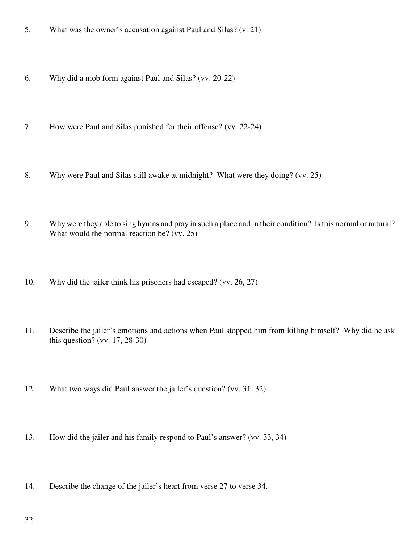- 5. What was the owner's accusation against Paul and Silas? (v. 21)
- 6. Why did a mob form against Paul and Silas? (vv. 20-22)
- 7. How were Paul and Silas punished for their offense? (vv. 22-24)
- 8. Why were Paul and Silas still awake at midnight? What were they doing? (vv. 25)
- 9. Why were they able to sing hymns and pray in such a place and in their condition? Is this normal or natural? What would the normal reaction be? (vv. 25)
- 10. Why did the jailer think his prisoners had escaped? (vv. 26, 27)
- 11. Describe the jailer's emotions and actions when Paul stopped him from killing himself? Why did he ask this question? (vv. 17, 28-30)
- 12. What two ways did Paul answer the jailer's question? (vv. 31, 32)
- 13. How did the jailer and his family respond to Paul's answer? (vv. 33, 34)
- 14. Describe the change of the jailer's heart from verse 27 to verse 34.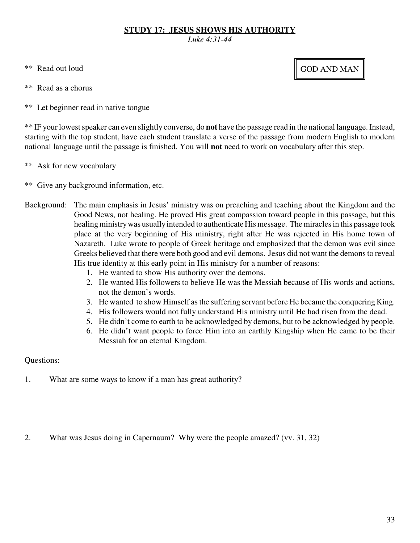## **STUDY 17: JESUS SHOWS HIS AUTHORITY**

*Luke 4:31-44*

- \*\* Read out loud
- \*\* Read as a chorus
- \*\* Let beginner read in native tongue

\*\* IF your lowest speaker can even slightly converse, do **not** have the passage read in the national language. Instead, starting with the top student, have each student translate a verse of the passage from modern English to modern national language until the passage is finished. You will **not** need to work on vocabulary after this step.

- \*\* Ask for new vocabulary
- \*\* Give any background information, etc.
- Background: The main emphasis in Jesus' ministry was on preaching and teaching about the Kingdom and the Good News, not healing. He proved His great compassion toward people in this passage, but this healing ministry was usually intended to authenticate His message. The miracles in this passage took place at the very beginning of His ministry, right after He was rejected in His home town of Nazareth. Luke wrote to people of Greek heritage and emphasized that the demon was evil since Greeks believed that there were both good and evil demons. Jesus did not want the demons to reveal His true identity at this early point in His ministry for a number of reasons:
	- 1. He wanted to show His authority over the demons.
	- 2. He wanted His followers to believe He was the Messiah because of His words and actions, not the demon's words.
	- 3. He wanted to show Himself as the suffering servant before He became the conquering King.
	- 4. His followers would not fully understand His ministry until He had risen from the dead.
	- 5. He didn't come to earth to be acknowledged by demons, but to be acknowledged by people.
	- 6. He didn't want people to force Him into an earthly Kingship when He came to be their Messiah for an eternal Kingdom.

# Questions:

1. What are some ways to know if a man has great authority?

2. What was Jesus doing in Capernaum? Why were the people amazed? (vv. 31, 32)

# GOD AND MAN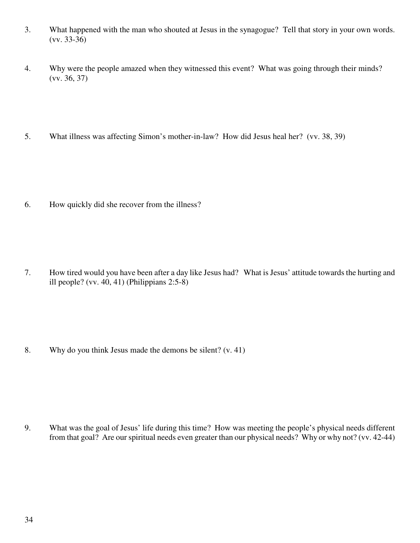- 3. What happened with the man who shouted at Jesus in the synagogue? Tell that story in your own words. (vv. 33-36)
- 4. Why were the people amazed when they witnessed this event? What was going through their minds? (vv. 36, 37)
- 5. What illness was affecting Simon's mother-in-law? How did Jesus heal her? (vv. 38, 39)

6. How quickly did she recover from the illness?

7. How tired would you have been after a day like Jesus had? What is Jesus' attitude towards the hurting and ill people? (vv. 40, 41) (Philippians 2:5-8)

8. Why do you think Jesus made the demons be silent? (v. 41)

9. What was the goal of Jesus' life during this time? How was meeting the people's physical needs different from that goal? Are our spiritual needs even greater than our physical needs? Why or why not? (vv. 42-44)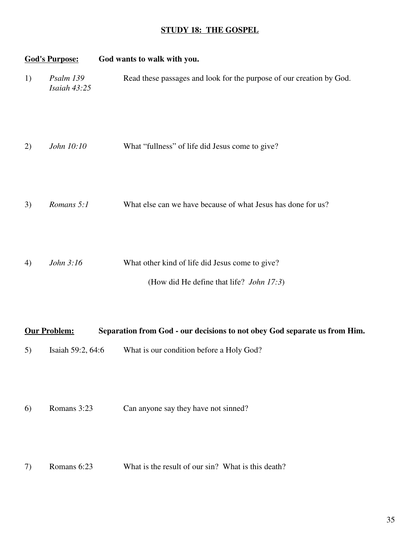## **STUDY 18: THE GOSPEL**

|    | <b>God's Purpose:</b>     | God wants to walk with you.                                                                         |
|----|---------------------------|-----------------------------------------------------------------------------------------------------|
| 1) | Psalm 139<br>Isaiah 43:25 | Read these passages and look for the purpose of our creation by God.                                |
| 2) | John 10:10                | What "fullness" of life did Jesus come to give?                                                     |
| 3) | Romans 5:1                | What else can we have because of what Jesus has done for us?                                        |
| 4) | John 3:16                 | What other kind of life did Jesus come to give?<br>(How did He define that life? <i>John 17:3</i> ) |

|    | <b>Our Problem:</b> | Separation from God - our decisions to not obey God separate us from Him. |
|----|---------------------|---------------------------------------------------------------------------|
| 5) | Isaiah 59:2, $64:6$ | What is our condition before a Holy God?                                  |

6) Romans 3:23 Can anyone say they have not sinned?

7) Romans 6:23 What is the result of our sin? What is this death?